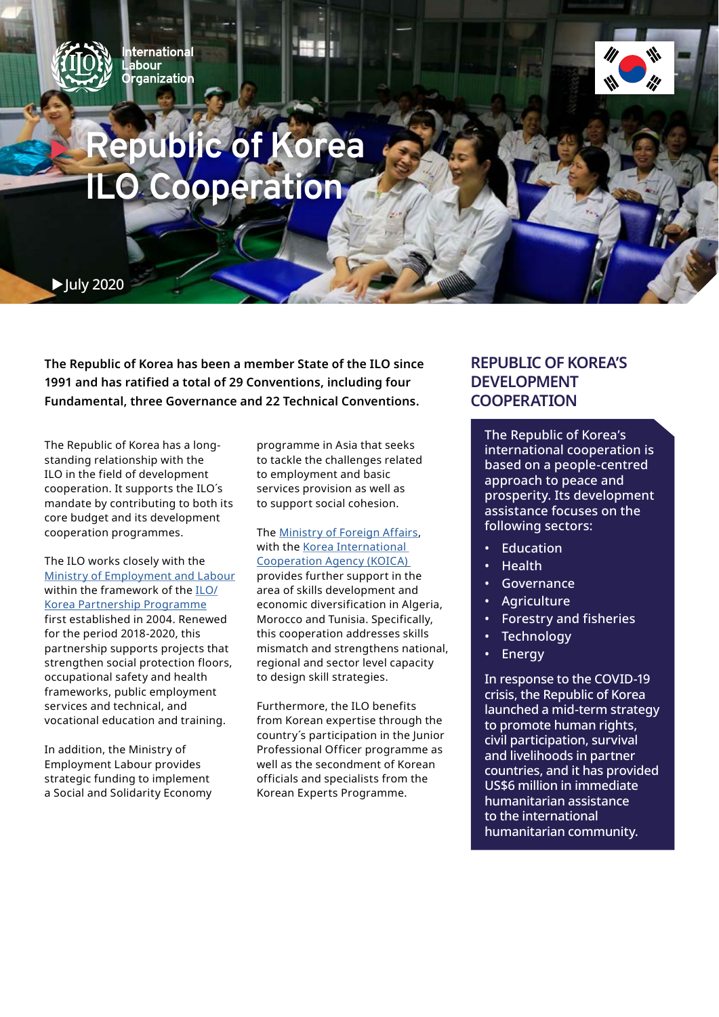

**ternational** abour **ganization** 



# **Republic of** *<u><b>O* Cooperation</u>

 $\blacktriangleright$  July 2020

**The Republic of Korea has been a member State of the ILO since 1991 and has ratified a total of 29 Conventions, including four Fundamental, three Governance and 22 Technical Conventions.**

The Republic of Korea has a longstanding relationship with the ILO in the field of development cooperation. It supports the ILO´s mandate by contributing to both its core budget and its development cooperation programmes.

The ILO works closely with the [Ministry of Employment and Labour](http://www.moel.go.kr/english/main.jsp) within the framework of the  $ILO$ [Korea Partnership Programme](https://www.ilo.org/asia/projects/korea/lang--en/index.htm) first established in 2004. Renewed for the period 2018-2020, this partnership supports projects that strengthen social protection floors, occupational safety and health frameworks, public employment services and technical, and vocational education and training.

In addition, the Ministry of Employment Labour provides strategic funding to implement a Social and Solidarity Economy programme in Asia that seeks to tackle the challenges related to employment and basic services provision as well as to support social cohesion.

The [Ministry of Foreign Affairs](http://www.mofa.go.kr/eng/index.do), with the Korea International [Cooperation Agency \(KOICA\)](http://www.koica.go.kr/sites/koica_en/index.do)  provides further support in the area of skills development and economic diversification in Algeria, Morocco and Tunisia. Specifically, this cooperation addresses skills mismatch and strengthens national, regional and sector level capacity to design skill strategies.

Furthermore, the ILO benefits from Korean expertise through the country´s participation in the Junior Professional Officer programme as well as the secondment of Korean officials and specialists from the Korean Experts Programme.

### **REPUBLIC OF KOREA'S DEVELOPMENT COOPERATION**

The Republic of Korea's international cooperation is based on a people-centred approach to peace and prosperity. Its development assistance focuses on the following sectors:

- **Education**
- Health
- **Governance**
- Agriculture
- Forestry and fisheries
- **Technology**
- **Energy**

In response to the COVID-19 crisis, the Republic of Korea launched a mid-term strategy to promote human rights, civil participation, survival and livelihoods in partner countries, and it has provided US\$6 million in immediate humanitarian assistance to the international humanitarian community.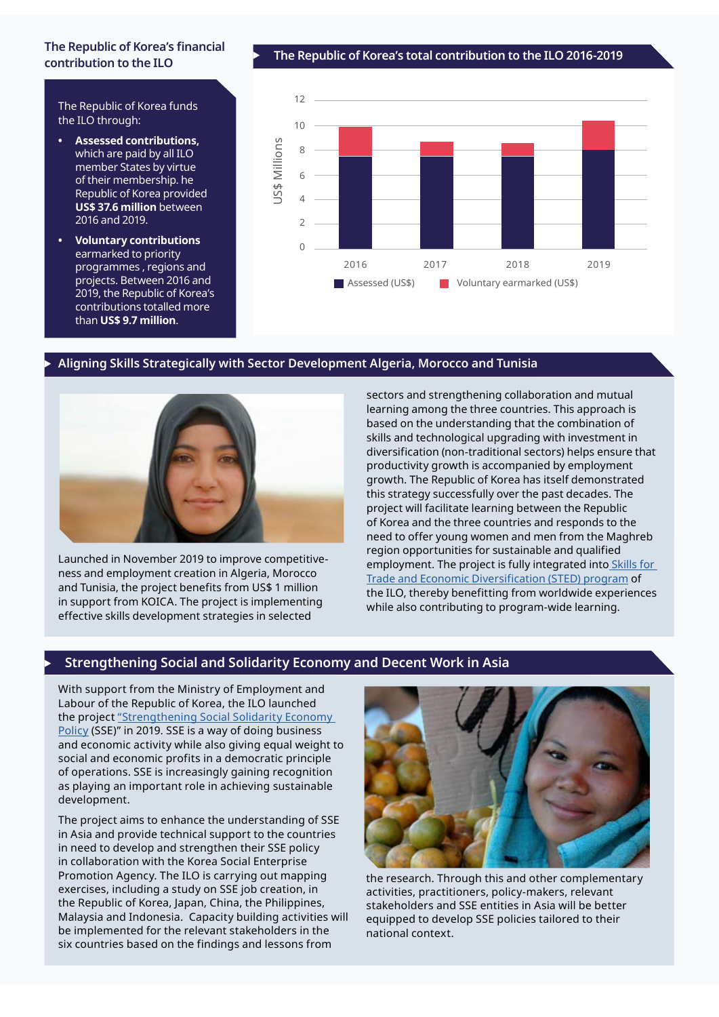## **contribution to the ILO**

The Republic of Korea funds the ILO through:

- **• Assessed contributions,**  which are paid by all ILO member States by virtue of their membership. he Republic of Korea provided **US\$ 37.6 million** between 2016 and 2019.
- **• Voluntary contributions**  earmarked to priority programmes , regions and projects. Between 2016 and 2019, the Republic of Korea's contributions totalled more than **US\$ 9.7 million**.

<sup>c</sup> **The Republic of Korea's total contribution to the ILO 2016-2019 The Republic of Korea's financial** 



#### <sup>c</sup> **Aligning Skills Strategically with Sector Development Algeria, Morocco and Tunisia**



Launched in November 2019 to improve competitiveness and employment creation in Algeria, Morocco and Tunisia, the project benefits from US\$ 1 million in support from KOICA. The project is implementing effective skills development strategies in selected

sectors and strengthening collaboration and mutual learning among the three countries. This approach is based on the understanding that the combination of skills and technological upgrading with investment in diversification (non-traditional sectors) helps ensure that productivity growth is accompanied by employment growth. The Republic of Korea has itself demonstrated this strategy successfully over the past decades. The project will facilitate learning between the Republic of Korea and the three countries and responds to the need to offer young women and men from the Maghreb region opportunities for sustainable and qualified employment. The project is fully integrated into Skills for [Trade and Economic Diversification \(STED\) program](https://www.ilo.org/skills/projects/sted/lang--en/index.htm) of the ILO, thereby benefitting from worldwide experiences while also contributing to program-wide learning.

#### <sup>c</sup> **Strengthening Social and Solidarity Economy and Decent Work in Asia**

With support from the Ministry of Employment and Labour of the Republic of Korea, the ILO launched the project ["Strengthening Social Solidarity Economy](https://www.ilo.org/global/topics/cooperatives/projects/WCMS_714983/lang--en/index.htm)  [Policy](https://www.ilo.org/global/topics/cooperatives/projects/WCMS_714983/lang--en/index.htm) (SSE)" in 2019. SSE is a way of doing business and economic activity while also giving equal weight to social and economic profits in a democratic principle of operations. SSE is increasingly gaining recognition as playing an important role in achieving sustainable development.

The project aims to enhance the understanding of SSE in Asia and provide technical support to the countries in need to develop and strengthen their SSE policy in collaboration with the Korea Social Enterprise Promotion Agency. The ILO is carrying out mapping exercises, including a study on SSE job creation, in the Republic of Korea, Japan, China, the Philippines, Malaysia and Indonesia. Capacity building activities will be implemented for the relevant stakeholders in the six countries based on the findings and lessons from



the research. Through this and other complementary activities, practitioners, policy-makers, relevant stakeholders and SSE entities in Asia will be better equipped to develop SSE policies tailored to their national context.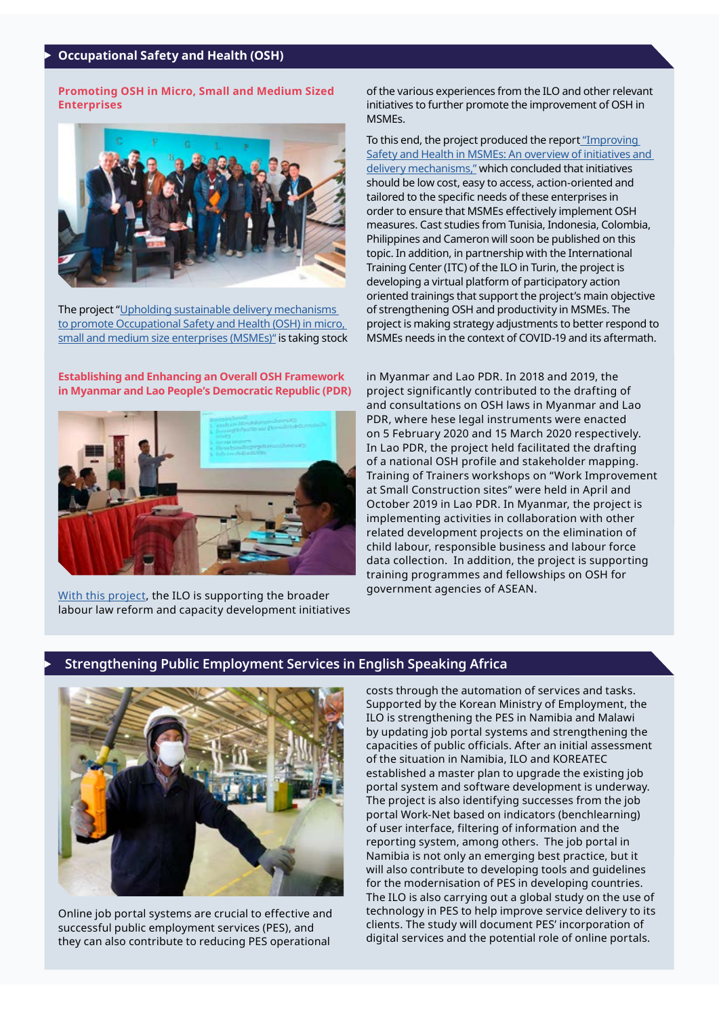#### <sup>c</sup> **Occupational Safety and Health (OSH)**

**Promoting OSH in Micro, Small and Medium Sized Enterprises** 



The project ["Upholding sustainable delivery mechanisms](https://www.ilo.org/global/topics/safety-and-health-at-work/programmes-projects/WCMS_626716/lang--en/index.htm)  [to promote Occupational Safety and Health \(OSH\) in micro,](https://www.ilo.org/global/topics/safety-and-health-at-work/programmes-projects/WCMS_626716/lang--en/index.htm)  [small and medium size enterprises \(MSMEs\)"](https://www.ilo.org/global/topics/safety-and-health-at-work/programmes-projects/WCMS_626716/lang--en/index.htm) is taking stock

**Establishing and Enhancing an Overall OSH Framework in Myanmar and Lao People's Democratic Republic (PDR)**



[With this project,](https://www.ilo.org/asia/projects/WCMS_630115/lang--en/index.htm) the ILO is supporting the broader labour law reform and capacity development initiatives of the various experiences from the ILO and other relevant initiatives to further promote the improvement of OSH in MSMEs.

To this end, the project produced the repor[t "Improving](https://www.ilo.org/global/topics/safety-and-health-at-work/resources-library/publications/WCMS_740304/lang--en/index.htm)  [Safety and Health in MSMEs: An overview of initiatives and](https://www.ilo.org/global/topics/safety-and-health-at-work/resources-library/publications/WCMS_740304/lang--en/index.htm)  [delivery mechanisms,"](https://www.ilo.org/global/topics/safety-and-health-at-work/resources-library/publications/WCMS_740304/lang--en/index.htm) which concluded that initiatives should be low cost, easy to access, action-oriented and tailored to the specific needs of these enterprises in order to ensure that MSMEs effectively implement OSH measures. Cast studies from Tunisia, Indonesia, Colombia, Philippines and Cameron will soon be published on this topic. In addition, in partnership with the International Training Center (ITC) of the ILO in Turin, the project is developing a virtual platform of participatory action oriented trainings that support the project's main objective of strengthening OSH and productivity in MSMEs. The project is making strategy adjustments to better respond to MSMEs needs in the context of COVID-19 and its aftermath.

in Myanmar and Lao PDR. In 2018 and 2019, the project significantly contributed to the drafting of and consultations on OSH laws in Myanmar and Lao PDR, where hese legal instruments were enacted on 5 February 2020 and 15 March 2020 respectively. In Lao PDR, the project held facilitated the drafting of a national OSH profile and stakeholder mapping. Training of Trainers workshops on "Work Improvement at Small Construction sites" were held in April and October 2019 in Lao PDR. In Myanmar, the project is implementing activities in collaboration with other related development projects on the elimination of child labour, responsible business and labour force data collection. In addition, the project is supporting training programmes and fellowships on OSH for government agencies of ASEAN.

#### <sup>c</sup> **Strengthening Public Employment Services in English Speaking Africa**



Online job portal systems are crucial to effective and successful public employment services (PES), and they can also contribute to reducing PES operational

costs through the automation of services and tasks. Supported by the Korean Ministry of Employment, the ILO is strengthening the PES in Namibia and Malawi by updating job portal systems and strengthening the capacities of public officials. After an initial assessment of the situation in Namibia, ILO and KOREATEC established a master plan to upgrade the existing job portal system and software development is underway. The project is also identifying successes from the job portal Work-Net based on indicators (benchlearning) of user interface, filtering of information and the reporting system, among others. The job portal in Namibia is not only an emerging best practice, but it will also contribute to developing tools and guidelines for the modernisation of PES in developing countries. The ILO is also carrying out a global study on the use of technology in PES to help improve service delivery to its clients. The study will document PES' incorporation of digital services and the potential role of online portals.